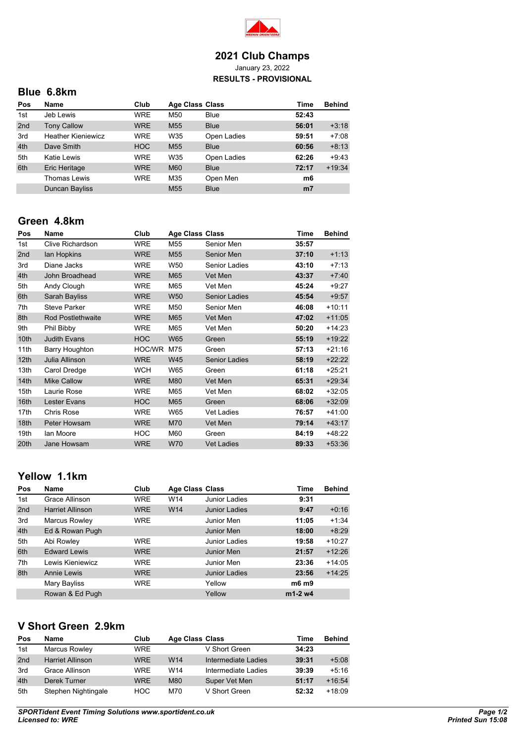

#### **2021 Club Champs** January 23, 2022 **RESULTS - PROVISIONAL**

# **Blue 6.8km**

| Pos | Name                      | Club       | <b>Age Class Class</b> |             | Time           | <b>Behind</b> |
|-----|---------------------------|------------|------------------------|-------------|----------------|---------------|
| 1st | Jeb Lewis                 | <b>WRE</b> | M50                    | <b>Blue</b> | 52:43          |               |
| 2nd | <b>Tony Callow</b>        | <b>WRE</b> | M <sub>55</sub>        | <b>Blue</b> | 56:01          | $+3:18$       |
| 3rd | <b>Heather Kieniewicz</b> | <b>WRE</b> | W35                    | Open Ladies | 59:51          | $+7:08$       |
| 4th | Dave Smith                | <b>HOC</b> | M <sub>55</sub>        | <b>Blue</b> | 60:56          | $+8:13$       |
| 5th | Katie Lewis               | <b>WRE</b> | W35                    | Open Ladies | 62:26          | $+9:43$       |
| 6th | Eric Heritage             | <b>WRE</b> | M60                    | <b>Blue</b> | 72:17          | $+19:34$      |
|     | <b>Thomas Lewis</b>       | <b>WRE</b> | M35                    | Open Men    | m6             |               |
|     | Duncan Bayliss            |            | M <sub>55</sub>        | <b>Blue</b> | m <sub>7</sub> |               |

### **Green 4.8km**

| Pos              | Name                     | Club       | <b>Age Class Class</b> |                      | Time  | <b>Behind</b> |
|------------------|--------------------------|------------|------------------------|----------------------|-------|---------------|
| 1st              | Clive Richardson         | <b>WRE</b> | M55                    | Senior Men           | 35:57 |               |
| 2nd              | lan Hopkins              | <b>WRE</b> | M <sub>55</sub>        | Senior Men           | 37:10 | $+1:13$       |
| 3rd              | Diane Jacks              | <b>WRE</b> | W50                    | Senior Ladies        | 43:10 | $+7:13$       |
| 4th              | John Broadhead           | <b>WRE</b> | M65                    | Vet Men              | 43:37 | $+7:40$       |
| 5th              | Andy Clough              | <b>WRE</b> | M65                    | Vet Men              | 45:24 | $+9:27$       |
| 6th              | Sarah Bayliss            | <b>WRE</b> | <b>W50</b>             | <b>Senior Ladies</b> | 45:54 | $+9:57$       |
| 7th              | Steve Parker             | <b>WRE</b> | M50                    | Senior Men           | 46:08 | $+10:11$      |
| 8th              | <b>Rod Postlethwaite</b> | <b>WRE</b> | M65                    | Vet Men              | 47:02 | $+11:05$      |
| 9th              | Phil Bibby               | <b>WRE</b> | M65                    | Vet Men              | 50:20 | $+14:23$      |
| 10th             | <b>Judith Evans</b>      | <b>HOC</b> | <b>W65</b>             | Green                | 55:19 | $+19:22$      |
| 11th             | Barry Houghton           | HOC/WR     | M75                    | Green                | 57:13 | $+21:16$      |
| 12 <sub>th</sub> | Julia Allinson           | <b>WRE</b> | <b>W45</b>             | <b>Senior Ladies</b> | 58:19 | $+22:22$      |
| 13th             | Carol Dredge             | <b>WCH</b> | W65                    | Green                | 61:18 | $+25:21$      |
| 14 <sub>th</sub> | <b>Mike Callow</b>       | <b>WRE</b> | M80                    | Vet Men              | 65:31 | $+29:34$      |
| 15th             | Laurie Rose              | <b>WRE</b> | M65                    | Vet Men              | 68:02 | $+32:05$      |
| 16th             | Lester Evans             | <b>HOC</b> | M65                    | Green                | 68:06 | $+32:09$      |
| 17th             | <b>Chris Rose</b>        | <b>WRE</b> | W65                    | <b>Vet Ladies</b>    | 76:57 | $+41:00$      |
| 18th             | Peter Howsam             | <b>WRE</b> | M70                    | Vet Men              | 79:14 | $+43:17$      |
| 19th             | lan Moore                | <b>HOC</b> | M60                    | Green                | 84:19 | +48:22        |
| 20th             | Jane Howsam              | <b>WRE</b> | <b>W70</b>             | <b>Vet Ladies</b>    | 89:33 | $+53:36$      |

# **Yellow 1.1km**

| Pos | Name                    | Club       | <b>Age Class Class</b> |                      | Time      | <b>Behind</b> |
|-----|-------------------------|------------|------------------------|----------------------|-----------|---------------|
| 1st | Grace Allinson          | <b>WRE</b> | W14                    | Junior Ladies        | 9:31      |               |
| 2nd | <b>Harriet Allinson</b> | <b>WRE</b> | W <sub>14</sub>        | <b>Junior Ladies</b> | 9:47      | $+0:16$       |
| 3rd | Marcus Rowley           | <b>WRE</b> |                        | Junior Men           | 11:05     | $+1:34$       |
| 4th | Ed & Rowan Pugh         |            |                        | Junior Men           | 18:00     | $+8:29$       |
| 5th | Abi Rowley              | <b>WRE</b> |                        | Junior Ladies        | 19:58     | $+10:27$      |
| 6th | <b>Edward Lewis</b>     | <b>WRE</b> |                        | Junior Men           | 21:57     | $+12:26$      |
| 7th | Lewis Kieniewicz        | <b>WRE</b> |                        | Junior Men           | 23:36     | $+14:05$      |
| 8th | Annie Lewis             | <b>WRE</b> |                        | <b>Junior Ladies</b> | 23:56     | $+14:25$      |
|     | Mary Bayliss            | <b>WRE</b> |                        | Yellow               | m6 m9     |               |
|     | Rowan & Ed Pugh         |            |                        | Yellow               | $m1-2$ w4 |               |

# **V Short Green 2.9km**

| Pos             | Name                    | Club       | Age Class Class |                     | Time  | <b>Behind</b> |
|-----------------|-------------------------|------------|-----------------|---------------------|-------|---------------|
| 1st             | Marcus Rowley           | <b>WRE</b> |                 | V Short Green       | 34:23 |               |
| 2 <sub>nd</sub> | <b>Harriet Allinson</b> | <b>WRE</b> | W14             | Intermediate Ladies | 39:31 | $+5:08$       |
| 3rd             | Grace Allinson          | <b>WRE</b> | W14             | Intermediate Ladies | 39:39 | $+5:16$       |
| 4th             | Derek Turner            | <b>WRE</b> | M80             | Super Vet Men       | 51:17 | $+16:54$      |
| 5th             | Stephen Nightingale     | <b>HOC</b> | M70             | V Short Green       | 52:32 | $+18.09$      |